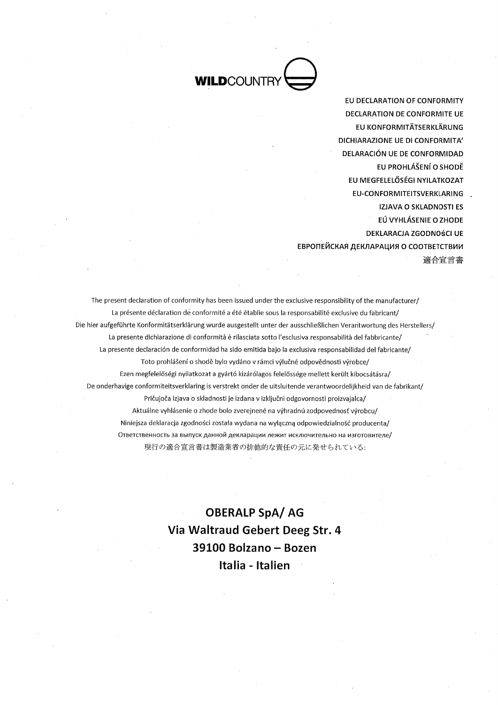

EU DECLARATION OF CONFORMITY **DECLARATION DE CONFORMITE UE** EU KONFORMITÄTSERKLÄRUNG DICHIARAZIONE UE DI CONFORMITA' DELARACIÓN UF DE CONFORMIDAD EU PROHLÁŠENÍ O SHODĚ EU MEGFELELŐSÉGI NYILATKOZAT EU-CONFORMITEITSVERKLARING IZJAVA O SKLADNOSTI ES EÚ VYHLÁSENIE O ZHODE **DEKLARACJA ZGODNOŚCI UE** ЕВРОПЕЙСКАЯ ДЕКЛАРАЦИЯ О СООТВЕТСТВИИ 適合宣言書

The present declaration of conformity has been issued under the exclusive responsibility of the manufacturer/ La présente déclaration de conformité a été établie sous la responsabilité exclusive du fabricant/ Die hier aufgeführte Konformitätserklärung wurde ausgestellt unter der ausschließlichen Verantwortung des Herstellers/ La presente dichiarazione di conformità è rilasciata sotto l'esclusiva responsabilità del fabbricante/ La presente declaración de conformidad ha sido emitida bajo la exclusiva responsabilidad del fabricante/ Toto prohlášení o shodě bylo vydáno v rámci výlučné odpovědnosti výrobce/ Ezen megfelelőségi nyilatkozat a gyártó kizárólagos felelőssége mellett került kibocsátásra/ De onderhavige conformiteitsverklaring is verstrekt onder de uitsluitende verantwoordelijkheid van de fabrikant/ Pričujoča izjava o skladnosti je izdana v izključni odgovornosti proizvajalca/ Aktuálne vyhlásenie o zhode bolo zverejnené na výhradnú zodpovednosť výrobcu/ Niniejsza deklaracja zgodności została wydana na wyłączną odpowiedzialność producenta/ Ответственность за выпуск данной декларации лежит исключительно на изготовителе/ 現行の適合宣言書は製造業者の排他的な責任の元に発せられている:

> **OBERALP SpA/AG** Via Waltraud Gebert Deeg Str. 4 39100 Bolzano - Bozen Italia - Italien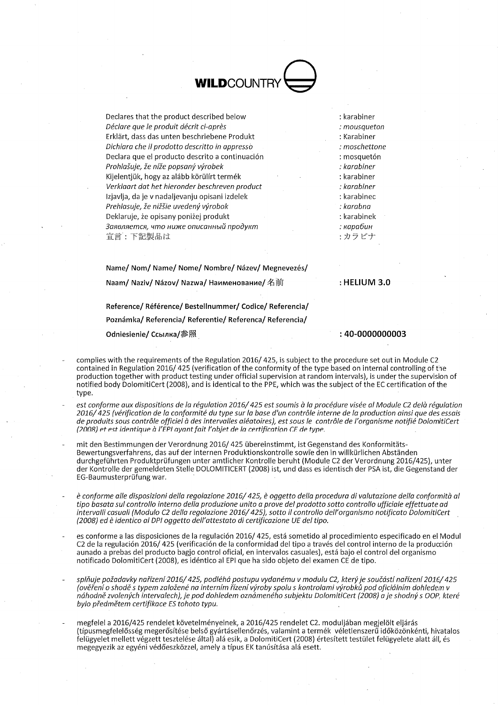**WILDCOUNT** 

Declares that the product described below Déclare que le produit décrit ci-après Erklärt, dass das unten beschriebene Produkt Dichiara che il prodotto descritto in appressò Declara que el producto descrito a continuación Prohlašuje, že níže popsaný výrobek Kijelentjük, hogy az alább körülírt termék Verklaart dat het hieronder beschreven product Izjavlja, da je v nadaljevanju opisani izdelek Prehlasuje, že nižšie uvedený výrobok Deklaruje, że opisany poniżej produkt Заявляется, что ниже описанный продукт 宣言:下記製品は

: karabiner : mousaueton : Karabiner : moschettone : mosquetón : karabiner : karabiner : karabiner : karabinec : karabna : karabinek : капабин :カラビナ

Name/ Nom/ Name/ Nome/ Nombre/ Název/ Megnevezés/ Naam/ Naziv/ Názov/ Nazwa/ Наименование/ 名前

 $:$  HELIUM 3.0

Reference/Référence/Bestellnummer/Codice/Referencia/ Poznámka/ Referencia/ Referentie/ Referenca/ Referencia/ Odniesienie/ Ссылка/参照

: 40-0000000003

- complies with the requirements of the Regulation 2016/425, is subject to the procedure set out in Module C2 contained in Regulation 2016/425 (verification of the conformity of the type based on internal controlling of the production together with product testing under official supervision at random intervals), is under the supervision of notified body DolomitiCert (2008), and is identical to the PPE, which was the subject of the EC certification of the tyne.
- est conforme aux dispositions de la régulation 2016/425 est soumis à la procédure visée al Module C2 delà régulation 2016/425 (vérification de la conformité du type sur la base d'un contrôle interne de la production ainsi que des essais de produits sous contrôle officiel à des intervalles aléatoires), est sous le contrôle de l'organisme notifié DolomitiCert (2008) et est identique à l'EPI ayant fait l'objet de la certification CE de type.

mit den Bestimmungen der Verordnung 2016/425 übereinstimmt, ist Gegenstand des Konformitäts-Bewertungsverfahrens, das auf der internen Produktionskontrolle sowie den in willkürlichen Abständen durchgeführten Produktprüfungen unter amtlicher Kontrolle beruht (Module C2 der Verordnung 2016/425), unter der Kontrolle der gemeldeten Stelle DOLOMITICERT (2008) ist, und dass es identisch der PSA ist, die Gegenstand der EG-Baumusterprüfung war.

- è conforme alle disposizioni della regolazione 2016/425, è oggetto della procedura di valutazione della conformità al tipo basata sul controllo interno della produzione unito a prove del prodotto sotto controllo ufficiale effettuate ad intervalli casuali (Modulo C2 della regolazione 2016/425), sotto il controllo dell'organismo notificato DolomitiCert (2008) ed è identico al DPI oggetto dell'attestato di certificazione UE del tipo.
- es conforme a las disposiciones de la regulación 2016/425, está sometido al procedimiento especificado en el Modul C2 de la regulación 2016/425 (verificación de la conformidad del tipo a través del control interno de la producción aunado a prebas del producto bagio control oficial, en intervalos casuales), está bajo el control del organismo notificado DolomitiCert (2008), es idéntico al EPI que ha sido objeto del examen CE de tipo.
- splňuje požadavky nařízení 2016/425, podléhá postupu vydanému v modulu C2, který je součástí nařízení 2016/425 (ověření o shodě s typem založené na interním řízení výroby spolu s kontrolami výrobků pod oficiálním dohledem v náhodně zvolených intervalech), je pod dohledem oznámeného subjektu DolomitiCert (2008) a je shodný s OOP, které bylo předmětem certifikace ES tohoto typu.
- megfelel a 2016/425 rendelet követelményeinek, a 2016/425 rendelet C2. moduljában megjelölt eljárás (típusmegfelelősség megerősítése belső gyártásellenőrzés, valamint a termék véletlenszerű időközönkénti, hivatalos felügyelet mellett végzett tesztelése által) alá esik, a DolomitiCert (2008) értesített testület felügyelete alatt áll, és megegyezik az egyéni védőeszközzel, amely a típus EK tanúsítása alá esett.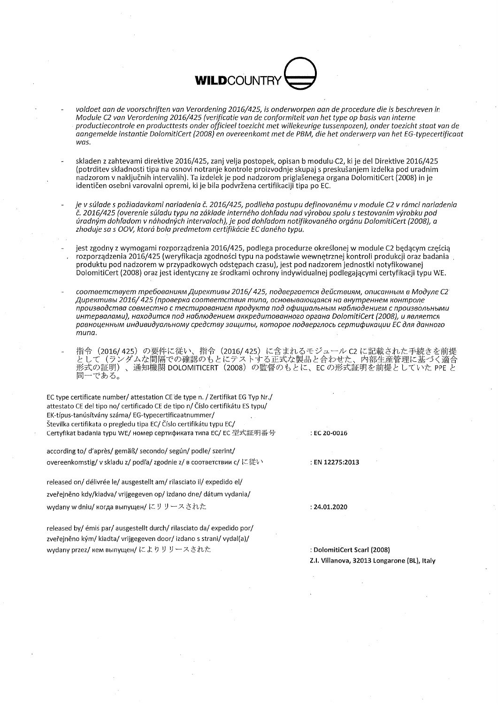

- voldoet aan de voorschriften van Verordening 2016/425, is onderworpen aan de procedure die is beschreven in Module C2 van Verordening 2016/425 (verificatie van de conformiteit van het type op basis van interne productiecontrole en productests onder officieel toezicht met willekeurige tussenpozen), onder toezicht staat van de aangemelde instantie DolomitiCert (2008) en overeenkomt met de PBM, die het onderwerp van het EG-typecertificaat  $was$
- skladen z zahtevami direktive 2016/425, zanj velja postopek, opisan b modulu C2, ki je del Direktive 2016/425 (potrditev skladnosti tipa na osnovi notranje kontrole proizvodnje skupaj s preskušanjem izdelka pod uradnim nadzorom v naključnih intervalih). Ta izdelek je pod nadzorom priglašenega organa DolomitiCert (2008) in je identičen osebni varovalni opremi, ki je bila podvržena certifikaciji tipa po EC.
- je v súlade s požiadavkami nariadenia č. 2016/425, podlieha postupu definovanému v module C2 v rámci nariadenia č. 2016/425 (overenie súladu typu na základe interného dohľadu nad výrobou spolu s testovaním výrobku pod úradným dohľadom v náhodných intervaloch), je pod dohľadom notifikovaného orgánu DolomitiCert (2008), a<br>zhoduje sa s OOV, ktorá bola predmetom certifikácie EC daného typu.
- jest zgodny z wymogami rozporządzenia 2016/425, podlega procedurze określonej w module C2 bedacym cześcia rozporządzenia 2016/425 (weryfikacja zgodności typu na podstawie wewnetrznej kontroli produkcji oraz badania produktu pod nadzorem w przypadkowych odstępach czasu), jest pod nadzorem jednostki notyfikowanej DolomitiCert (2008) oraz jest identyczny ze środkami ochrony indywidualnej podlegającymi certyfikacji typu WE.
- соответствует требованиям Директивы 2016/425, подвергается действиям, описанным в Модуле С2 Директивы 2016/425 (проверка соответствия типа, основывающаяся на внутреннем контроле производства совместно с тестированием продукта под официальным наблюдением с произвольными интервалами). находится под наблюдением аккредитованного органа DolomitiCert (2008), и является равноценным индивидуальному средству защиты, которое подверглось сертификации ЕС для данного  $m<sub>II</sub>$
- 指令(2016/425)の要件に従い、指令(2016/425)に含まれるモジュール C2 に記載された手続きを前提<br>として(ランダムな間隔での確認のもとにテストする正式な製品と合わせた、内部生産管理に基づく適合<br>形式の証明)、通知機関 DOLOMITICERT(2008)の監督のもとに、EC の形式証明を前提としていた PPE と 同一である。

EC type certificate number/ attestation CE de type n. / Zertifikat EG Typ Nr./ attestato CE del tipo no/ certificado CE de tipo n/ Číslo certifikátu ES typu/ EK-típus-tanúsítvány száma/EG-typecertificaatnummer/ Številka certifikata o pregledu tipa EC/ Číslo certifikátu typu EC/ Certyfikat badania typu WE/ номер сертификата типа EC/ EC 型式証明番号

according to/d'après/gemäß/secondo/según/podle/szerint/ overeenkomstig/vskladu z/podľa/zgodnie z/в соответствии с/に従い

released on/ délivrée le/ ausgestellt am/ rilasciato il/ expedido el/ zveřejněno kdy/kiadva/ vrijgegeven op/ izdano dne/ dátum vydania/ wydany w dniu/ когда выпущен/にリリースされた

: EN 12275:2013

 $\therefore$  EC 20-0016

 $: 24.01.2020$ 

released by/ émis par/ ausgestellt durch/ rilasciato da/ expedido por/ zveřejněno kým/kiadta/vrijgegeven door/jzdano s strani/vvdal(a)/ wydany przez/ кем выпущен/によりリリースされた

: DolomitiCert Scarl (2008) Z.I. Villanova, 32013 Longarone (BL), Italy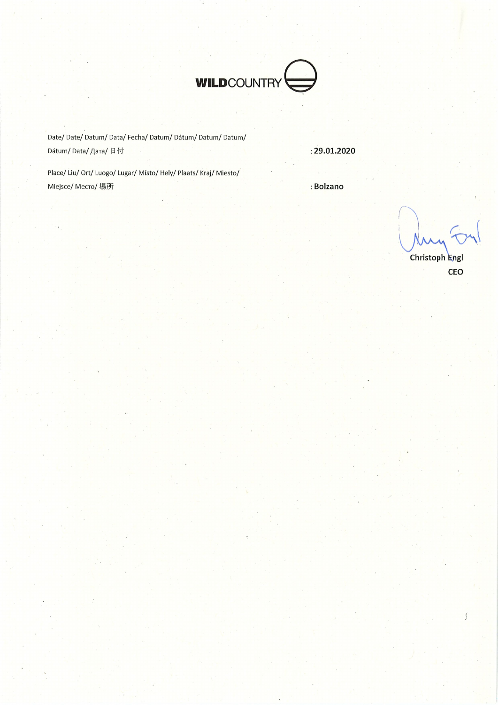

Date/Date/Datum/Data/Fecha/Datum/Dátum/Datum/Datum/ Dátum/Data/ Дата/日付

 $: 29.01.2020$ 

Place/Liu/Ort/Luogo/Lugar/Místo/Hely/Plaats/Kraj/Miesto/ Miejsce/ Mecro/ 場所

: Bolzano

Christoph Engl CEO

 $\mathcal{S}$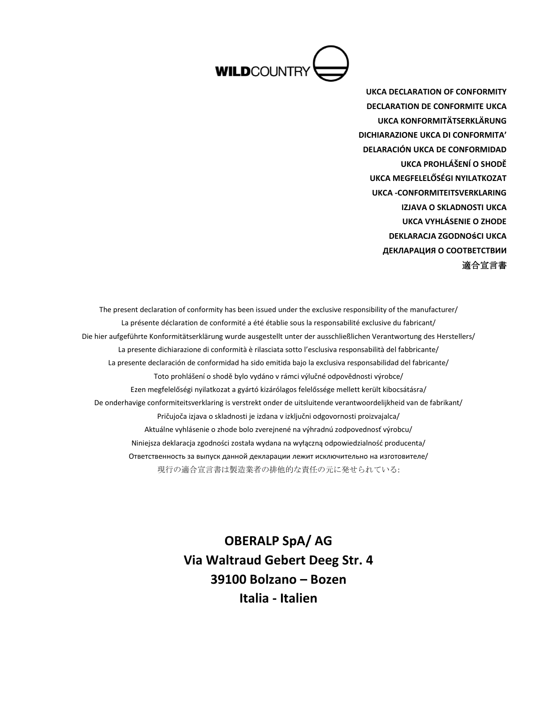

**UKCA DECLARATION OF CONFORMITY DECLARATION DE CONFORMITE UKCA UKCA KONFORMITÄTSERKLÄRUNG DICHIARAZIONE UKCA DI CONFORMITA' DELARACIÓN UKCA DE CONFORMIDAD UKCA PROHLÁŠENÍ O SHODĚ UKCA MEGFELELŐSÉGI NYILATKOZAT UKCA -CONFORMITEITSVERKLARING IZJAVA O SKLADNOSTI UKCA UKCA VYHLÁSENIE O ZHODE DEKLARACJA ZGODNOśCI UKCA ДЕКЛАРАЦИЯ О СООТВЕТСТВИИ** 適合宣言書

The present declaration of conformity has been issued under the exclusive responsibility of the manufacturer/ La présente déclaration de conformité a été établie sous la responsabilité exclusive du fabricant/ Die hier aufgeführte Konformitätserklärung wurde ausgestellt unter der ausschließlichen Verantwortung des Herstellers/ La presente dichiarazione di conformità è rilasciata sotto l'esclusiva responsabilità del fabbricante/ La presente declaración de conformidad ha sido emitida bajo la exclusiva responsabilidad del fabricante/ Toto prohlášení o shodě bylo vydáno v rámci výlučné odpovědnosti výrobce/ Ezen megfelelőségi nyilatkozat a gyártó kizárólagos felelőssége mellett került kibocsátásra/ De onderhavige conformiteitsverklaring is verstrekt onder de uitsluitende verantwoordelijkheid van de fabrikant/ Pričujoča izjava o skladnosti je izdana v izključni odgovornosti proizvajalca/ Aktuálne vyhlásenie o zhode bolo zverejnené na výhradnú zodpovednosť výrobcu/ Niniejsza deklaracja zgodności została wydana na wyłączną odpowiedzialność producenta/ Ответственность за выпуск данной декларации лежит исключительно на изготовителе/ 現行の適合宣言書は製造業者の排他的な責任の元に発せられている:

> **OBERALP SpA/ AG Via Waltraud Gebert Deeg Str. 4 39100 Bolzano – Bozen Italia - Italien**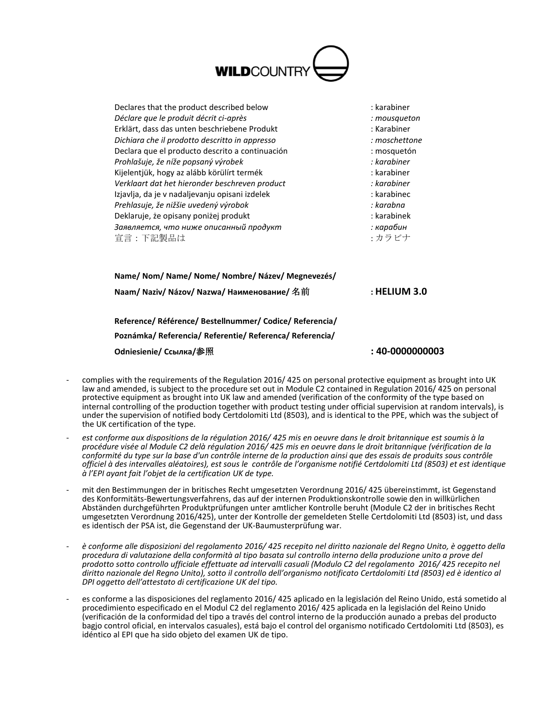

| Declares that the product described below       | : karabiner   |
|-------------------------------------------------|---------------|
| Déclare que le produit décrit ci-après          | : mousqueton  |
| Erklärt, dass das unten beschriebene Produkt    | : Karabiner   |
| Dichiara che il prodotto descritto in appresso  | : moschettone |
| Declara que el producto descrito a continuación | : mosquetón   |
| Prohlašuje, že níže popsaný výrobek             | : karabiner   |
| Kijelentjük, hogy az alább körülírt termék      | : karabiner   |
| Verklaart dat het hieronder beschreven product  | : karabiner   |
| Izjavlja, da je v nadaljevanju opisani izdelek  | : karabinec   |
| Prehlasuje, že nižšie uvedený výrobok           | : karabna     |
| Deklaruje, że opisany poniżej produkt           | : karabinek   |
| Заявляется, что ниже описанный продукт          | : карабин     |
| 宣言:下記製品は                                        | ・カラビナ         |
|                                                 |               |

| Name/Nom/Name/Nome/Nombre/Název/Megnevezés/ |                  |
|---------------------------------------------|------------------|
| Naam/ Naziv/ Názov/ Nazwa/ Наименование/ 名前 | $\pm$ HELIUM 3.0 |
|                                             |                  |

**Reference/ Référence/ Bestellnummer/ Codice/ Referencia/ Poznámka/ Referencia/ Referentie/ Referenca/ Referencia/ Odniesienie/ Ссылка/**参照 **: 40-0000000003**

- complies with the requirements of the Regulation 2016/ 425 on personal protective equipment as brought into UK law and amended, is subject to the procedure set out in Module C2 contained in Regulation 2016/ 425 on personal protective equipment as brought into UK law and amended (verification of the conformity of the type based on internal controlling of the production together with product testing under official supervision at random intervals), is under the supervision of notified body Certdolomiti Ltd (8503), and is identical to the PPE, which was the subject of the UK certification of the type.
- *est conforme aux dispositions de la régulation 2016/ 425 mis en oeuvre dans le droit britannique est soumis à la procédure visée al Module C2 delà régulation 2016/ 425 mis en oeuvre dans le droit britannique (vérification de la conformité du type sur la base d'un contrôle interne de la production ainsi que des essais de produits sous contrôle officiel à des intervalles aléatoires), est sous le contrôle de l'organisme notifié Certdolomiti Ltd (8503) et est identique à l'EPI ayant fait l'objet de la certification UK de type.*
- mit den Bestimmungen der in britisches Recht umgesetzten Verordnung 2016/ 425 übereinstimmt, ist Gegenstand des Konformitäts-Bewertungsverfahrens, das auf der internen Produktionskontrolle sowie den in willkürlichen Abständen durchgeführten Produktprüfungen unter amtlicher Kontrolle beruht (Module C2 der in britisches Recht umgesetzten Verordnung 2016/425), unter der Kontrolle der gemeldeten Stelle Certdolomiti Ltd (8503) ist, und dass es identisch der PSA ist, die Gegenstand der UK-Baumusterprüfung war.
- *è conforme alle disposizioni del regolamento 2016/ 425 recepito nel diritto nazionale del Regno Unito, è oggetto della procedura di valutazione della conformità al tipo basata sul controllo interno della produzione unito a prove del prodotto sotto controllo ufficiale effettuate ad intervalli casuali (Modulo C2 del regolamento 2016/ 425 recepito nel diritto nazionale del Regno Unito), sotto il controllo dell'organismo notificato Certdolomiti Ltd (8503) ed è identico al DPI oggetto dell'attestato di certificazione UK del tipo.*
- es conforme a las disposiciones del reglamento 2016/ 425 aplicado en la legislación del Reino Unido, está sometido al procedimiento especificado en el Modul C2 del reglamento 2016/ 425 aplicada en la legislación del Reino Unido (verificación de la conformidad del tipo a través del control interno de la producción aunado a prebas del producto bagjo control oficial, en intervalos casuales), está bajo el control del organismo notificado Certdolomiti Ltd (8503), es idéntico al EPI que ha sido objeto del examen UK de tipo.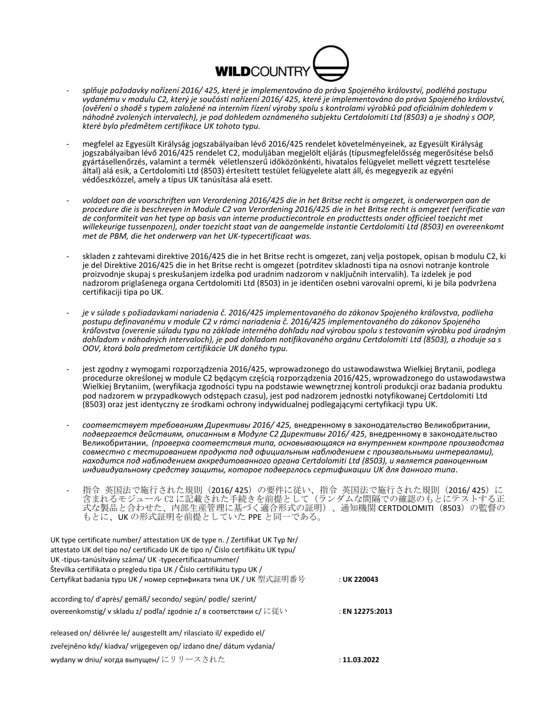

- - *splňuje požadavky nařízení 2016/ 425, které je implementováno do práva Spojeného království, podléhá postupu vydanému v modulu C2, který je součástí nařízení 2016/ 425, které je implementováno do práva Spojeného království, (ověření o shodě s typem založené na interním řízení výroby spolu s kontrolami výrobků pod oficiálním dohledem v náhodně zvolených intervalech), je pod dohledem oznámeného subjektu Certdolomiti Ltd (8503) a je shodný s OOP, které bylo předmětem certifikace UK tohoto typu.*
- megfelel az Egyesült Királyság jogszabályaiban lévő 2016/425 rendelet követelményeinek, az Egyesült Királyság jogszabályaiban lévő 2016/425 rendelet C2, moduljában megjelölt eljárás (típusmegfelelősség megerősítése belső gyártásellenőrzés, valamint a termék véletlenszerű időközönkénti, hivatalos felügyelet mellett végzett tesztelése által) alá esik, a Certdolomiti Ltd (8503) értesített testület felügyelete alatt áll, és megegyezik az egyéni védőeszközzel, amely a típus UK tanúsítása alá esett.
- *voldoet aan de voorschriften van Verordening 2016/425 die in het Britse recht is omgezet, is onderworpen aan de procedure die is beschreven in Module C2 van Verordening 2016/425 die in het Britse recht is omgezet (verificatie van de conformiteit van het type op basis van interne productiecontrole en producttests onder officieel toezicht met willekeurige tussenpozen), onder toezicht staat van de aangemelde instantie Certdolomiti Ltd (8503) en overeenkomt met de PBM, die het onderwerp van het UK-typecertificaat was.*
- skladen z zahtevami direktive 2016/425 die in het Britse recht is omgezet, zanj velja postopek, opisan b modulu C2, ki je del Direktive 2016/425 die in het Britse recht is omgezet (potrditev skladnosti tipa na osnovi notranje kontrole proizvodnje skupaj s preskušanjem izdelka pod uradnim nadzorom v naključnih intervalih). Ta izdelek je pod nadzorom priglašenega organa Certdolomiti Ltd (8503) in je identičen osebni varovalni opremi, ki je bila podvržena certifikaciji tipa po UK.
- *je v súlade s požiadavkami nariadenia č. 2016/425 implementovaného do zákonov Spojeného kráľovstva, podlieha postupu definovanému v module C2 v rámci nariadenia č. 2016/425 implementovaného do zákonov Spojeného kráľovstva (overenie súladu typu na základe interného dohľadu nad výrobou spolu s testovaním výrobku pod úradným dohľadom v náhodných intervaloch), je pod dohľadom notifikovaného orgánu Certdolomiti Ltd (8503), a zhoduje sa s OOV, ktorá bola predmetom certifikácie UK daného typu.*
- jest zgodny z wymogami rozporządzenia 2016/425, wprowadzonego do ustawodawstwa Wielkiej Brytanii, podlega procedurze określonej w module C2 będącym częścią rozporządzenia 2016/425, wprowadzonego do ustawodawstwa Wielkiej Brytaniim, (weryfikacja zgodności typu na podstawie wewnętrznej kontroli produkcji oraz badania produktu pod nadzorem w przypadkowych odstępach czasu), jest pod nadzorem jednostki notyfikowanej Certdolomiti Ltd (8503) oraz jest identyczny ze środkami ochrony indywidualnej podlegającymi certyfikacji typu UK.
- *соответствует требованиям Директивы 2016/ 425,* внедренному в законодательство Великобритании, *подвергается действиям, описанным в Модуле C2 Директивы 2016/ 425,* внедренному в законодательство Великобритании, *(проверка соответствия типа, основывающаяся на внутреннем контроле производства совместно с тестированием продукта под официальным наблюдением с произвольными интервалами), находится под наблюдением аккредитованного органа Certdolomiti Ltd (8503), и является равноценным индивидуальному средству защиты, которое подверглось сертификации UK для данного типа*.
- 指令 英国法で施行された規則(2016/425)の要件に従い、指令 英国法で施行された規則(2016/425)に 含まれるモジュール C2 に記載された手続きを前提として(ランダムな間隔での確認のもとにテストする正 式な製品と合わせた、内部生産管理に基づく適合形式の証明)、通知機関 CERTDOLOMITI (8503) の監督の もとに、UK の形式証明を前提としていた PPE と同一である。

| UK type certificate number/attestation UK de type n. / Zertifikat UK Typ Nr/<br>attestato UK del tipo no/ certificado UK de tipo n/ Číslo certifikátu UK typu/<br>UK-típus-tanúsítvány száma/ UK-typecertificaatnummer/<br>Številka certifikata o pregledu tipa UK / Číslo certifikátu typu UK / |                 |
|--------------------------------------------------------------------------------------------------------------------------------------------------------------------------------------------------------------------------------------------------------------------------------------------------|-----------------|
| Certyfikat badania typu UK / номер сертификата типа UK / UK 型式証明番号                                                                                                                                                                                                                               | : UK 220043     |
| according to/d'après/gemäß/secondo/según/podle/szerint/<br>overeenkomstig/v skladu z/ podľa/ zgodnie z/ в соответствии с/ に従い                                                                                                                                                                    | : EN 12275:2013 |
| released on/ délivrée le/ ausgestellt am/ rilasciato il/ expedido el/                                                                                                                                                                                                                            |                 |
| zveřejněno kdy/ kiadva/ vrijgegeven op/ izdano dne/ dátum vydania/                                                                                                                                                                                                                               |                 |
| wydany w dniu/ когда выпущен/にリリースされた                                                                                                                                                                                                                                                            | : 11.03.2022    |